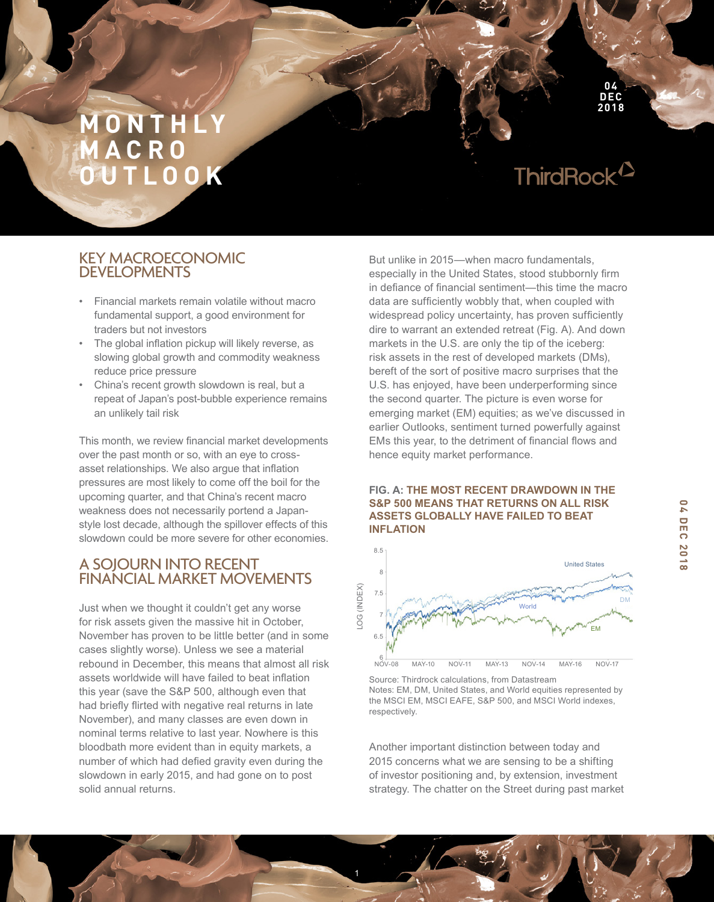# **M O N T H L Y M A C R O OUTLOOK**

# ThirdRock<sup>12</sup>

**04 DEC 2018**

## KEY MACROECONOMIC DEVELOPMENTS

- Financial markets remain volatile without macro fundamental support, a good environment for traders but not investors
- The global inflation pickup will likely reverse, as slowing global growth and commodity weakness reduce price pressure
- China's recent growth slowdown is real, but a repeat of Japan's post-bubble experience remains an unlikely tail risk

This month, we review financial market developments over the past month or so, with an eye to crossasset relationships. We also argue that inflation pressures are most likely to come off the boil for the upcoming quarter, and that China's recent macro weakness does not necessarily portend a Japanstyle lost decade, although the spillover effects of this slowdown could be more severe for other economies.

## A SOJOURN INTO RECENT FINANCIAL MARKET MOVEMENTS

Just when we thought it couldn't get any worse for risk assets given the massive hit in October, November has proven to be little better (and in some cases slightly worse). Unless we see a material rebound in December, this means that almost all risk assets worldwide will have failed to beat infation this year (save the S&P 500, although even that had briefy firted with negative real returns in late November), and many classes are even down in nominal terms relative to last year. Nowhere is this bloodbath more evident than in equity markets, a number of which had defed gravity even during the slowdown in early 2015, and had gone on to post solid annual returns.

But unlike in 2015—when macro fundamentals, especially in the United States, stood stubbornly firm in defance of fnancial sentiment—this time the macro data are sufficiently wobbly that, when coupled with widespread policy uncertainty, has proven sufficiently dire to warrant an extended retreat (Fig. A). And down markets in the U.S. are only the tip of the iceberg: risk assets in the rest of developed markets (DMs), bereft of the sort of positive macro surprises that the U.S. has enjoyed, have been underperforming since the second quarter. The picture is even worse for emerging market (EM) equities; as we've discussed in earlier Outlooks, sentiment turned powerfully against EMs this year, to the detriment of financial flows and hence equity market performance.

## **FIG. A: THE MOST RECENT DRAWDOWN IN THE S&P 500 MEANS THAT RETURNS ON ALL RISK ASSETS GLOBALLY HAVE FAILED TO BEAT INFLATION**



Source: Thirdrock calculations, from Datastream Notes: EM, DM, United States, and World equities represented by the MSCI EM, MSCI EAFE, S&P 500, and MSCI World indexes, respectively.

Another important distinction between today and 2015 concerns what we are sensing to be a shifting of investor positioning and, by extension, investment strategy. The chatter on the Street during past market

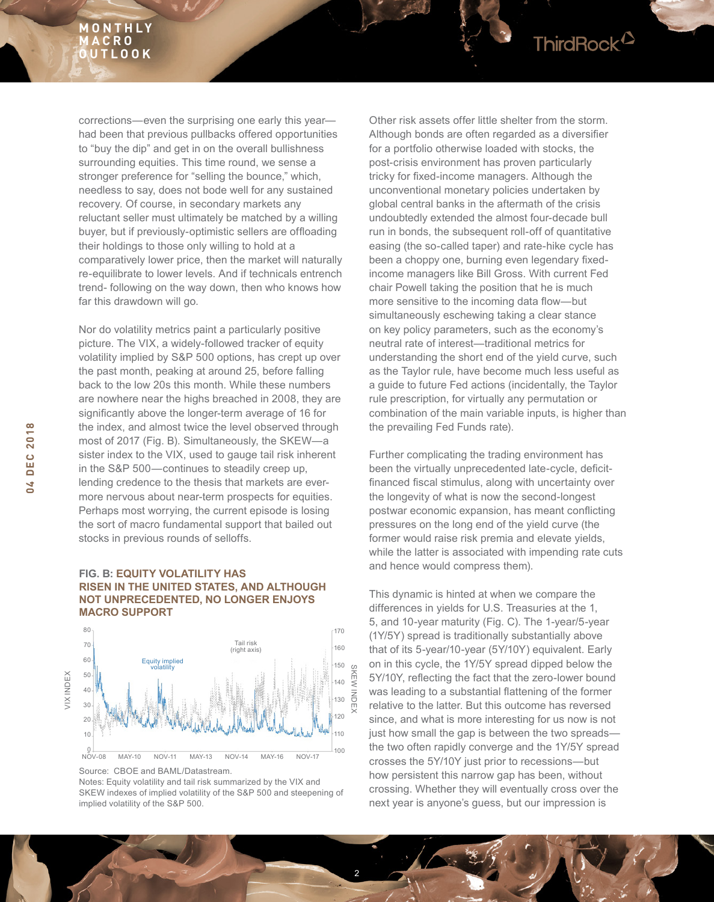## **M O N T H L Y M A C R O OUTLOOK**

corrections—even the surprising one early this year had been that previous pullbacks offered opportunities to "buy the dip" and get in on the overall bullishness surrounding equities. This time round, we sense a stronger preference for "selling the bounce," which, needless to say, does not bode well for any sustained recovery. Of course, in secondary markets any reluctant seller must ultimately be matched by a willing buyer, but if previously-optimistic sellers are offoading their holdings to those only willing to hold at a comparatively lower price, then the market will naturally re-equilibrate to lower levels. And if technicals entrench trend- following on the way down, then who knows how far this drawdown will go.

Nor do volatility metrics paint a particularly positive picture. The VIX, a widely-followed tracker of equity volatility implied by S&P 500 options, has crept up over the past month, peaking at around 25, before falling back to the low 20s this month. While these numbers are nowhere near the highs breached in 2008, they are signifcantly above the longer-term average of 16 for the index, and almost twice the level observed through most of 2017 (Fig. B). Simultaneously, the SKEW—a sister index to the VIX, used to gauge tail risk inherent in the S&P 500—continues to steadily creep up, lending credence to the thesis that markets are evermore nervous about near-term prospects for equities. Perhaps most worrying, the current episode is losing the sort of macro fundamental support that bailed out stocks in previous rounds of selloffs.

## **FIG. B: EQUITY VOLATILITY HAS RISEN IN THE UNITED STATES, AND ALTHOUGH NOT UNPRECEDENTED, NO LONGER ENJOYS MACRO SUPPORT**



Source: CBOE and BAML/Datastream.

Notes: Equity volatility and tail risk summarized by the VIX and SKEW indexes of implied volatility of the S&P 500 and steepening of implied volatility of the S&P 500.

2

SKEW INDEX

Other risk assets offer little shelter from the storm. Although bonds are often regarded as a diversifier for a portfolio otherwise loaded with stocks, the post-crisis environment has proven particularly tricky for fxed-income managers. Although the unconventional monetary policies undertaken by global central banks in the aftermath of the crisis undoubtedly extended the almost four-decade bull run in bonds, the subsequent roll-off of quantitative easing (the so-called taper) and rate-hike cycle has been a choppy one, burning even legendary fixedincome managers like Bill Gross. With current Fed chair Powell taking the position that he is much more sensitive to the incoming data flow-but simultaneously eschewing taking a clear stance on key policy parameters, such as the economy's neutral rate of interest—traditional metrics for understanding the short end of the yield curve, such as the Taylor rule, have become much less useful as a guide to future Fed actions (incidentally, the Taylor rule prescription, for virtually any permutation or combination of the main variable inputs, is higher than the prevailing Fed Funds rate).

ThirdRock<sup>12</sup>

Further complicating the trading environment has been the virtually unprecedented late-cycle, deficitfinanced fiscal stimulus, along with uncertainty over the longevity of what is now the second-longest postwar economic expansion, has meant conficting pressures on the long end of the yield curve (the former would raise risk premia and elevate yields, while the latter is associated with impending rate cuts and hence would compress them).

This dynamic is hinted at when we compare the differences in yields for U.S. Treasuries at the 1, 5, and 10-year maturity (Fig. C). The 1-year/5-year (1Y/5Y) spread is traditionally substantially above that of its 5-year/10-year (5Y/10Y) equivalent. Early on in this cycle, the 1Y/5Y spread dipped below the 5Y/10Y, refecting the fact that the zero-lower bound was leading to a substantial fattening of the former relative to the latter. But this outcome has reversed since, and what is more interesting for us now is not just how small the gap is between the two spreads the two often rapidly converge and the 1Y/5Y spread crosses the 5Y/10Y just prior to recessions—but how persistent this narrow gap has been, without crossing. Whether they will eventually cross over the next year is anyone's guess, but our impression is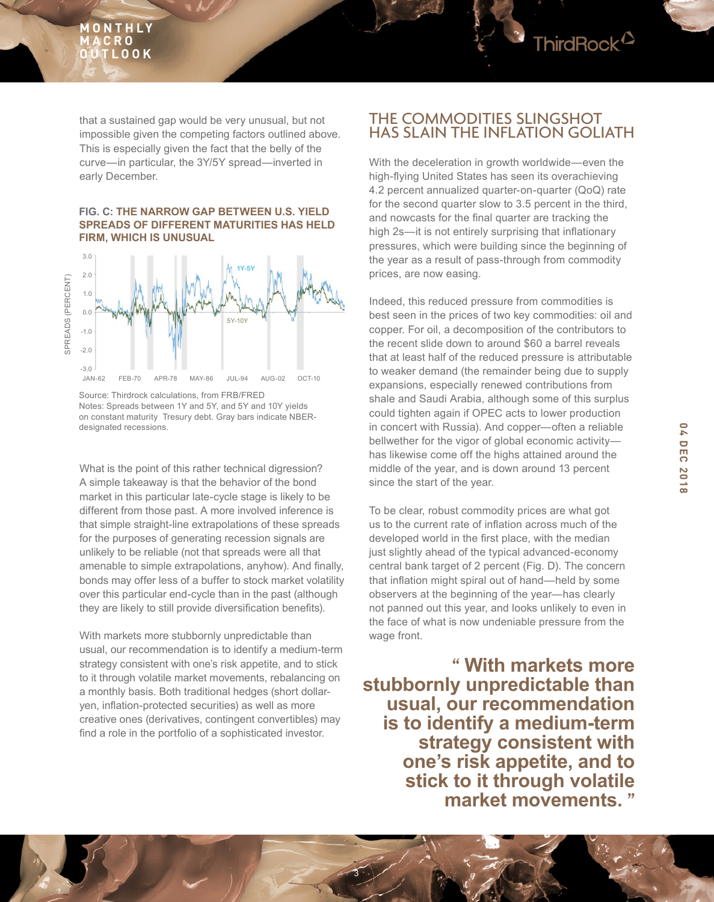

## **FIG. C: THE NARROW GAP BETWEEN U.S. YIELD SPREADS OF DIFFERENT MATURITIES HAS HELD FIRM, WHICH IS UNUSUAL**



Source: Thirdrock calculations, from FRB/FRED Notes: Spreads between 1Y and 5Y, and 5Y and 10Y yields on constant maturity Tresury debt. Gray bars indicate NBERdesignated recessions.

What is the point of this rather technical digression? A simple takeaway is that the behavior of the bond market in this particular late-cycle stage is likely to be different from those past. A more involved inference is that simple straight-line extrapolations of these spreads for the purposes of generating recession signals are unlikely to be reliable (not that spreads were all that amenable to simple extrapolations, anyhow). And finally, bonds may offer less of a buffer to stock market volatility over this particular end-cycle than in the past (although they are likely to still provide diversification benefits).

With markets more stubbornly unpredictable than usual, our recommendation is to identify a medium-term strategy consistent with one's risk appetite, and to stick to it through volatile market movements, rebalancing on a monthly basis. Both traditional hedges (short dollaryen, infation-protected securities) as well as more creative ones (derivatives, contingent convertibles) may find a role in the portfolio of a sophisticated investor.

## THE COMMODITIES SLINGSHOT HAS SLAIN THE INFLATION GOLIATH

ThirdRock<sup>12</sup>

With the deceleration in growth worldwide—even the high-fying United States has seen its overachieving 4.2 percent annualized quarter-on-quarter (QoQ) rate for the second quarter slow to 3.5 percent in the third, and nowcasts for the final quarter are tracking the high 2s—it is not entirely surprising that inflationary pressures, which were building since the beginning of the year as a result of pass-through from commodity prices, are now easing.

Indeed, this reduced pressure from commodities is best seen in the prices of two key commodities: oil and copper. For oil, a decomposition of the contributors to the recent slide down to around \$60 a barrel reveals that at least half of the reduced pressure is attributable to weaker demand (the remainder being due to supply expansions, especially renewed contributions from shale and Saudi Arabia, although some of this surplus could tighten again if OPEC acts to lower production in concert with Russia). And copper—often a reliable bellwether for the vigor of global economic activity has likewise come off the highs attained around the middle of the year, and is down around 13 percent since the start of the year.

To be clear, robust commodity prices are what got us to the current rate of infation across much of the developed world in the first place, with the median just slightly ahead of the typical advanced-economy central bank target of 2 percent (Fig. D). The concern that infation might spiral out of hand—held by some observers at the beginning of the year—has clearly not panned out this year, and looks unlikely to even in the face of what is now undeniable pressure from the wage front.

**" With markets more stubbornly unpredictable than usual, our recommendation is to identify a medium-term strategy consistent with one's risk appetite, and to stick to it through volatile market movements. "**

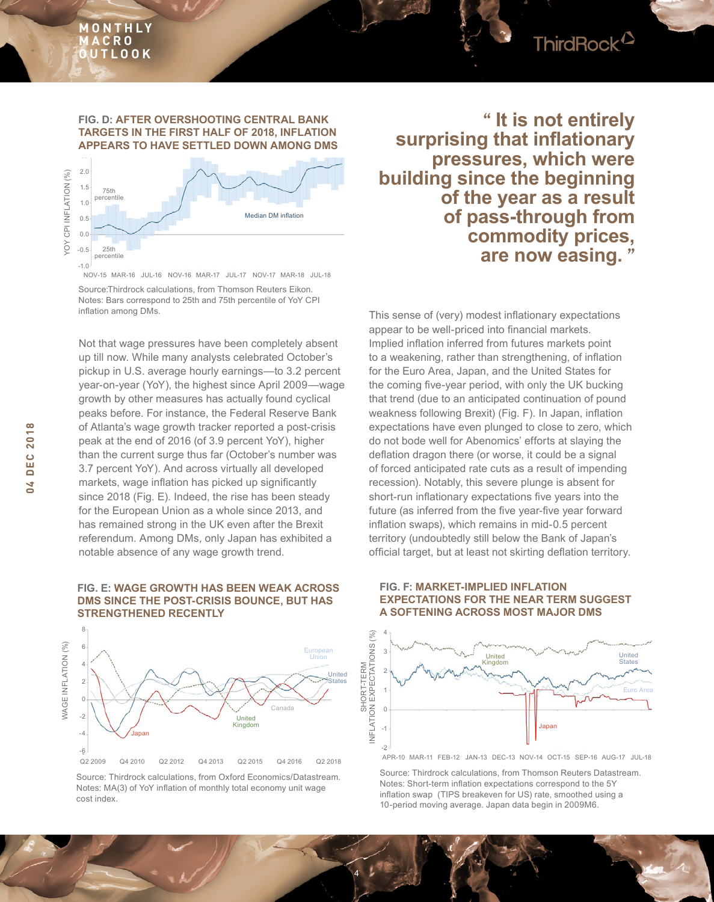## **M O N T H L Y M A C R O OUTLOOK**



### **FIG. D: AFTER OVERSHOOTING CENTRAL BANK TARGETS IN THE FIRST HALF OF 2018, INFLATION APPEARS TO HAVE SETTLED DOWN AMONG DMS**



NOV-15 MAR-16 JUL-16 NOV-16 MAR-17 JUL-17 NOV-17 MAR-18 JUL-18

Source:Thirdrock calculations, from Thomson Reuters Eikon. Notes: Bars correspond to 25th and 75th percentile of YoY CPI infation among DMs.

Not that wage pressures have been completely absent up till now. While many analysts celebrated October's pickup in U.S. average hourly earnings—to 3.2 percent year-on-year (YoY), the highest since April 2009—wage growth by other measures has actually found cyclical peaks before. For instance, the Federal Reserve Bank of Atlanta's wage growth tracker reported a post-crisis peak at the end of 2016 (of 3.9 percent YoY), higher than the current surge thus far (October's number was 3.7 percent YoY). And across virtually all developed markets, wage inflation has picked up significantly since 2018 (Fig. E). Indeed, the rise has been steady for the European Union as a whole since 2013, and has remained strong in the UK even after the Brexit referendum. Among DMs, only Japan has exhibited a notable absence of any wage growth trend.

## **FIG. E: WAGE GROWTH HAS BEEN WEAK ACROSS DMS SINCE THE POST-CRISIS BOUNCE, BUT HAS STRENGTHENED RECENTLY**



Source: Thirdrock calculations, from Oxford Economics/Datastream. Notes: MA(3) of YoY infation of monthly total economy unit wage cost index.

4

**" It is not entirely surprising that inflationary pressures, which were building since the beginning of the year as a result of pass-through from commodity prices, are now easing. "**

This sense of (very) modest infationary expectations appear to be well-priced into fnancial markets. Implied infation inferred from futures markets point to a weakening, rather than strengthening, of infation for the Euro Area, Japan, and the United States for the coming fve-year period, with only the UK bucking that trend (due to an anticipated continuation of pound weakness following Brexit) (Fig. F). In Japan, infation expectations have even plunged to close to zero, which do not bode well for Abenomics' efforts at slaying the deflation dragon there (or worse, it could be a signal of forced anticipated rate cuts as a result of impending recession). Notably, this severe plunge is absent for short-run inflationary expectations five years into the future (as inferred from the five year-five year forward infation swaps), which remains in mid-0.5 percent territory (undoubtedly still below the Bank of Japan's official target, but at least not skirting deflation territory.

#### **FIG. F: MARKET-IMPLIED INFLATION EXPECTATIONS FOR THE NEAR TERM SUGGEST A SOFTENING ACROSS MOST MAJOR DMS**



APR-10 MAR-11 FEB-12 JAN-13 DEC-13 NOV-14 OCT-15 SEP-16 AUG-17 JUL-18

Source: Thirdrock calculations, from Thomson Reuters Datastream. Notes: Short-term infation expectations correspond to the 5Y infation swap (TIPS breakeven for US) rate, smoothed using a 10-period moving average. Japan data begin in 2009M6.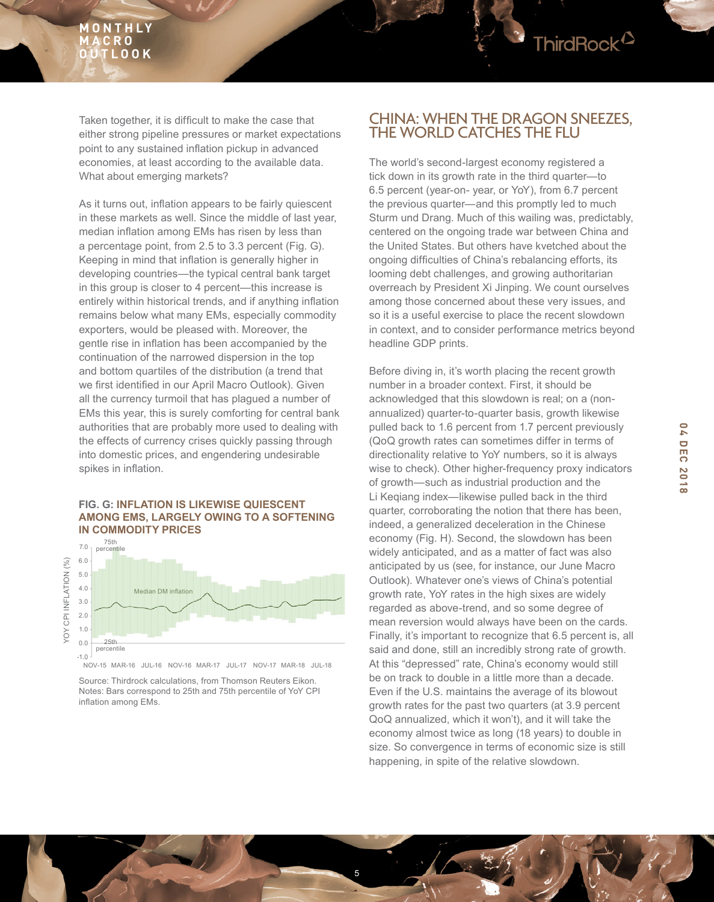

Taken together, it is difficult to make the case that either strong pipeline pressures or market expectations point to any sustained infation pickup in advanced economies, at least according to the available data. What about emerging markets?

As it turns out, infation appears to be fairly quiescent in these markets as well. Since the middle of last year, median infation among EMs has risen by less than a percentage point, from 2.5 to 3.3 percent (Fig. G). Keeping in mind that infation is generally higher in developing countries—the typical central bank target in this group is closer to 4 percent—this increase is entirely within historical trends, and if anything inflation remains below what many EMs, especially commodity exporters, would be pleased with. Moreover, the gentle rise in infation has been accompanied by the continuation of the narrowed dispersion in the top and bottom quartiles of the distribution (a trend that we first identified in our April Macro Outlook). Given all the currency turmoil that has plagued a number of EMs this year, this is surely comforting for central bank authorities that are probably more used to dealing with the effects of currency crises quickly passing through into domestic prices, and engendering undesirable spikes in infation.

### **FIG. G: INFLATION IS LIKEWISE QUIESCENT AMONG EMS, LARGELY OWING TO A SOFTENING IN COMMODITY PRICES**



NOV-15 MAR-16 JUL-16 NOV-16 MAR-17 JUL-17 NOV-17 MAR-18 JUL-18

Source: Thirdrock calculations, from Thomson Reuters Eikon. Notes: Bars correspond to 25th and 75th percentile of YoY CPI infation among EMs.

## CHINA: WHEN THE DRAGON SNEEZES, THE WORLD CATCHES THE FLU

The world's second-largest economy registered a tick down in its growth rate in the third quarter—to 6.5 percent (year-on- year, or YoY), from 6.7 percent the previous quarter—and this promptly led to much Sturm und Drang. Much of this wailing was, predictably, centered on the ongoing trade war between China and the United States. But others have kvetched about the ongoing diffculties of China's rebalancing efforts, its looming debt challenges, and growing authoritarian overreach by President Xi Jinping. We count ourselves among those concerned about these very issues, and so it is a useful exercise to place the recent slowdown in context, and to consider performance metrics beyond headline GDP prints.

Before diving in, it's worth placing the recent growth number in a broader context. First, it should be acknowledged that this slowdown is real; on a (nonannualized) quarter-to-quarter basis, growth likewise pulled back to 1.6 percent from 1.7 percent previously (QoQ growth rates can sometimes differ in terms of directionality relative to YoY numbers, so it is always wise to check). Other higher-frequency proxy indicators of growth—such as industrial production and the Li Keqiang index—likewise pulled back in the third quarter, corroborating the notion that there has been, indeed, a generalized deceleration in the Chinese economy (Fig. H). Second, the slowdown has been widely anticipated, and as a matter of fact was also anticipated by us (see, for instance, our June Macro Outlook). Whatever one's views of China's potential growth rate, YoY rates in the high sixes are widely regarded as above-trend, and so some degree of mean reversion would always have been on the cards. Finally, it's important to recognize that 6.5 percent is, all said and done, still an incredibly strong rate of growth. At this "depressed" rate, China's economy would still be on track to double in a little more than a decade. Even if the U.S. maintains the average of its blowout growth rates for the past two quarters (at 3.9 percent QoQ annualized, which it won't), and it will take the economy almost twice as long (18 years) to double in size. So convergence in terms of economic size is still happening, in spite of the relative slowdown.

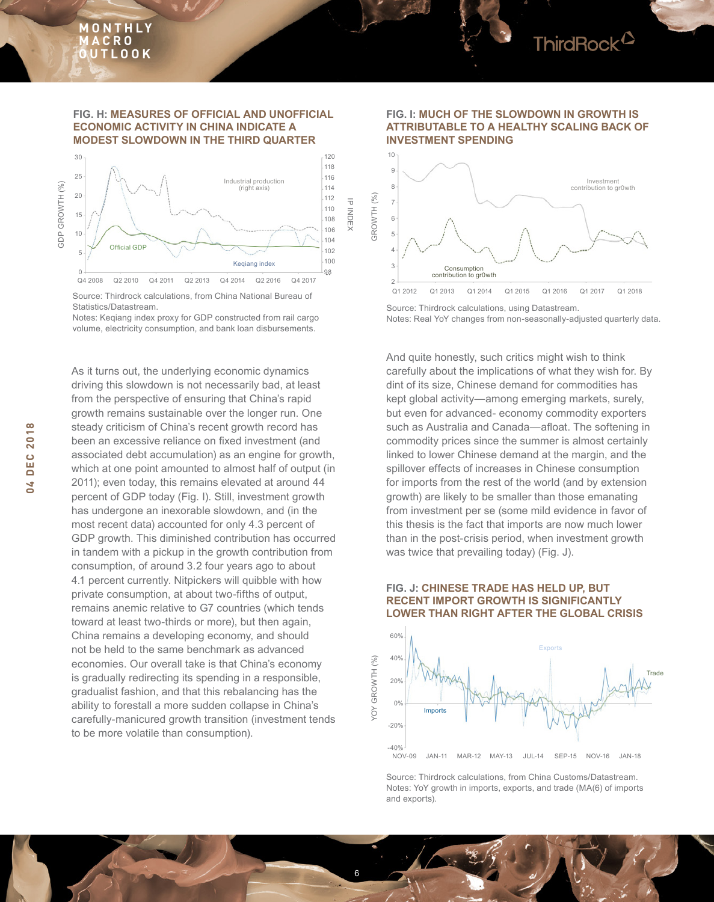

#### **FIG. H: MEASURES OF OFFICIAL AND UNOFFICIAL ECONOMIC ACTIVITY IN CHINA INDICATE A MODEST SLOWDOWN IN THE THIRD QUARTER**



Source: Thirdrock calculations, from China National Bureau of Statistics/Datastream.

Notes: Keqiang index proxy for GDP constructed from rail cargo volume, electricity consumption, and bank loan disbursements.

As it turns out, the underlying economic dynamics driving this slowdown is not necessarily bad, at least from the perspective of ensuring that China's rapid growth remains sustainable over the longer run. One steady criticism of China's recent growth record has been an excessive reliance on fixed investment (and associated debt accumulation) as an engine for growth, which at one point amounted to almost half of output (in 2011); even today, this remains elevated at around 44 percent of GDP today (Fig. I). Still, investment growth has undergone an inexorable slowdown, and (in the most recent data) accounted for only 4.3 percent of GDP growth. This diminished contribution has occurred in tandem with a pickup in the growth contribution from consumption, of around 3.2 four years ago to about 4.1 percent currently. Nitpickers will quibble with how private consumption, at about two-ffths of output, remains anemic relative to G7 countries (which tends toward at least two-thirds or more), but then again, China remains a developing economy, and should not be held to the same benchmark as advanced economies. Our overall take is that China's economy is gradually redirecting its spending in a responsible, gradualist fashion, and that this rebalancing has the ability to forestall a more sudden collapse in China's carefully-manicured growth transition (investment tends to be more volatile than consumption).



**FIG. I: MUCH OF THE SLOWDOWN IN GROWTH IS ATTRIBUTABLE TO A HEALTHY SCALING BACK OF** 

Source: Thirdrock calculations, using Datastream. Notes: Real YoY changes from non-seasonally-adjusted quarterly data.

And quite honestly, such critics might wish to think carefully about the implications of what they wish for. By dint of its size, Chinese demand for commodities has kept global activity—among emerging markets, surely, but even for advanced- economy commodity exporters such as Australia and Canada—afloat. The softening in commodity prices since the summer is almost certainly linked to lower Chinese demand at the margin, and the spillover effects of increases in Chinese consumption for imports from the rest of the world (and by extension growth) are likely to be smaller than those emanating from investment per se (some mild evidence in favor of this thesis is the fact that imports are now much lower than in the post-crisis period, when investment growth was twice that prevailing today) (Fig. J).

### **FIG. J: CHINESE TRADE HAS HELD UP, BUT RECENT IMPORT GROWTH IS SIGNIFICANTLY LOWER THAN RIGHT AFTER THE GLOBAL CRISIS**



Source: Thirdrock calculations, from China Customs/Datastream. Notes: YoY growth in imports, exports, and trade (MA(6) of imports and exports).

6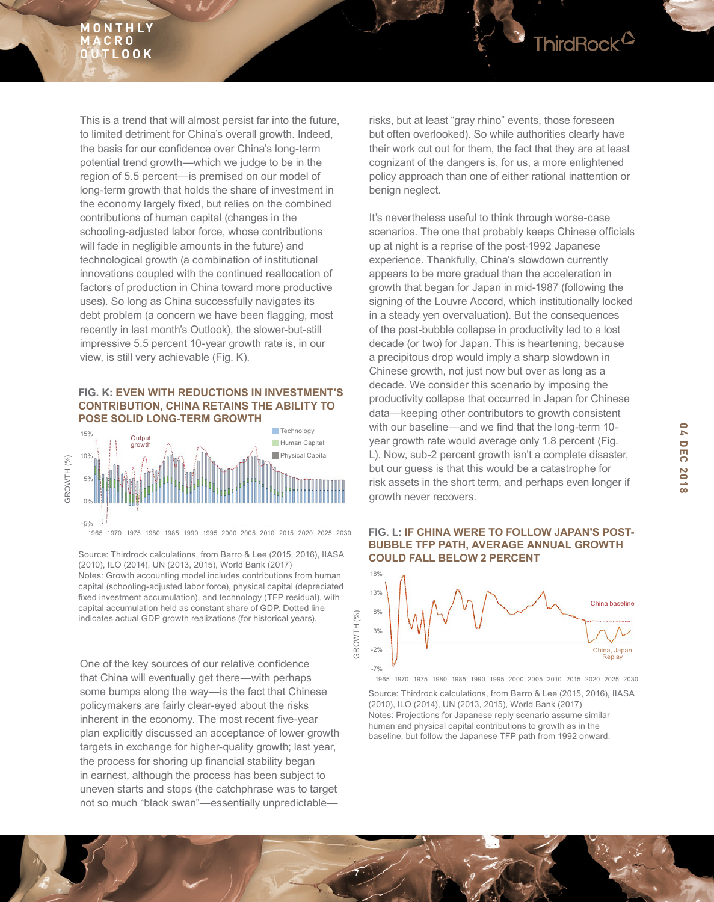## **M O N T H L Y C R O OUTLOOK**

This is a trend that will almost persist far into the future, to limited detriment for China's overall growth. Indeed, the basis for our confdence over China's long-term potential trend growth—which we judge to be in the region of 5.5 percent—is premised on our model of long-term growth that holds the share of investment in the economy largely fixed, but relies on the combined contributions of human capital (changes in the schooling-adjusted labor force, whose contributions will fade in negligible amounts in the future) and technological growth (a combination of institutional innovations coupled with the continued reallocation of factors of production in China toward more productive uses). So long as China successfully navigates its debt problem (a concern we have been fagging, most recently in last month's Outlook), the slower-but-still impressive 5.5 percent 10-year growth rate is, in our view, is still very achievable (Fig. K).

#### **FIG. K: EVEN WITH REDUCTIONS IN INVESTMENT'S CONTRIBUTION, CHINA RETAINS THE ABILITY TO POSE SOLID LONG-TERM GROWTH**



1965 1970 1975 1980 1985 1990 1995 2000 2005 2010 2015 2020 2025 2030

Source: Thirdrock calculations, from Barro & Lee (2015, 2016), IIASA (2010), ILO (2014), UN (2013, 2015), World Bank (2017) Notes: Growth accounting model includes contributions from human capital (schooling-adjusted labor force), physical capital (depreciated fixed investment accumulation), and technology (TFP residual), with capital accumulation held as constant share of GDP. Dotted line indicates actual GDP growth realizations (for historical years).

One of the key sources of our relative confdence that China will eventually get there—with perhaps some bumps along the way—is the fact that Chinese policymakers are fairly clear-eyed about the risks inherent in the economy. The most recent five-year plan explicitly discussed an acceptance of lower growth targets in exchange for higher-quality growth; last year, the process for shoring up financial stability began in earnest, although the process has been subject to uneven starts and stops (the catchphrase was to target not so much "black swan"—essentially unpredictable—

7

GROWTH (%)

GROWTH<sub>(%)</sub>

risks, but at least "gray rhino" events, those foreseen but often overlooked). So while authorities clearly have their work cut out for them, the fact that they are at least cognizant of the dangers is, for us, a more enlightened policy approach than one of either rational inattention or benign neglect.

ThirdRock<sup>12</sup>

It's nevertheless useful to think through worse-case scenarios. The one that probably keeps Chinese officials up at night is a reprise of the post-1992 Japanese experience. Thankfully, China's slowdown currently appears to be more gradual than the acceleration in growth that began for Japan in mid-1987 (following the signing of the Louvre Accord, which institutionally locked in a steady yen overvaluation). But the consequences of the post-bubble collapse in productivity led to a lost decade (or two) for Japan. This is heartening, because a precipitous drop would imply a sharp slowdown in Chinese growth, not just now but over as long as a decade. We consider this scenario by imposing the productivity collapse that occurred in Japan for Chinese data—keeping other contributors to growth consistent with our baseline—and we find that the long-term 10year growth rate would average only 1.8 percent (Fig. L). Now, sub-2 percent growth isn't a complete disaster, but our guess is that this would be a catastrophe for risk assets in the short term, and perhaps even longer if growth never recovers.

## **FIG. L: IF CHINA WERE TO FOLLOW JAPAN'S POST-BUBBLE TFP PATH, AVERAGE ANNUAL GROWTH COULD FALL BELOW 2 PERCENT**



1965 1970 1975 1980 1985 1990 1995 2000 2005 2010 2015 2020 2025 2030

Source: Thirdrock calculations, from Barro & Lee (2015, 2016), IIASA (2010), ILO (2014), UN (2013, 2015), World Bank (2017) Notes: Projections for Japanese reply scenario assume similar human and physical capital contributions to growth as in the baseline, but follow the Japanese TFP path from 1992 onward.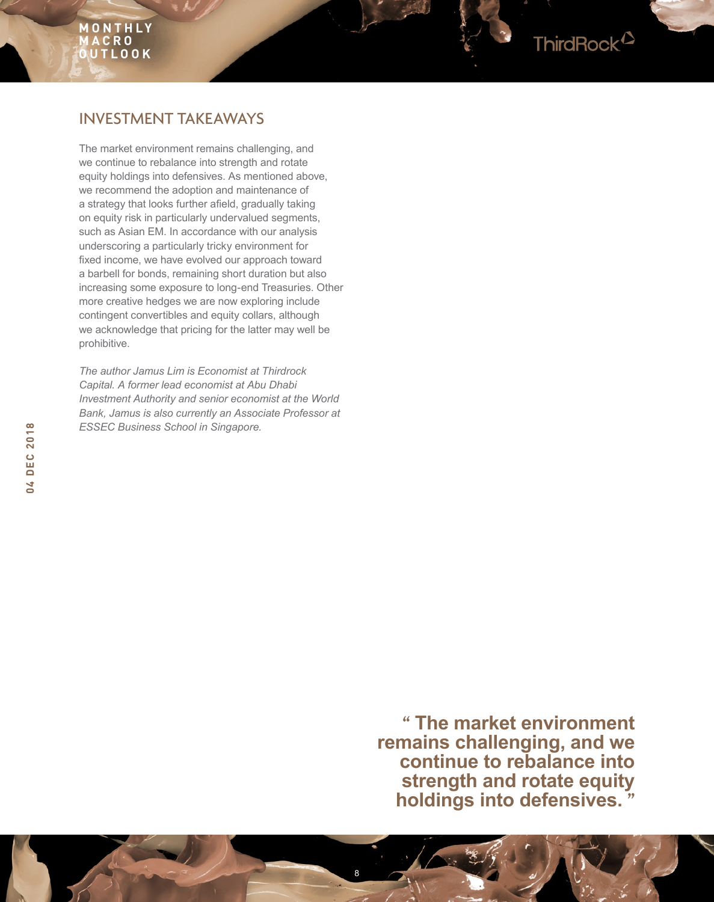## ThirdRock<sup>2</sup>

## INVESTMENT TAKEAWAYS

The market environment remains challenging, and we continue to rebalance into strength and rotate equity holdings into defensives. As mentioned above, we recommend the adoption and maintenance of a strategy that looks further afeld, gradually taking on equity risk in particularly undervalued segments, such as Asian EM. In accordance with our analysis underscoring a particularly tricky environment for fxed income, we have evolved our approach toward a barbell for bonds, remaining short duration but also increasing some exposure to long-end Treasuries. Other more creative hedges we are now exploring include contingent convertibles and equity collars, although we acknowledge that pricing for the latter may well be prohibitive.

*The author Jamus Lim is Economist at Thirdrock Capital. A former lead economist at Abu Dhabi Investment Authority and senior economist at the World Bank, Jamus is also currently an Associate Professor at ESSEC Business School in Singapore.*

> **" The market environment remains challenging, and we continue to rebalance into strength and rotate equity holdings into defensives. "**

8